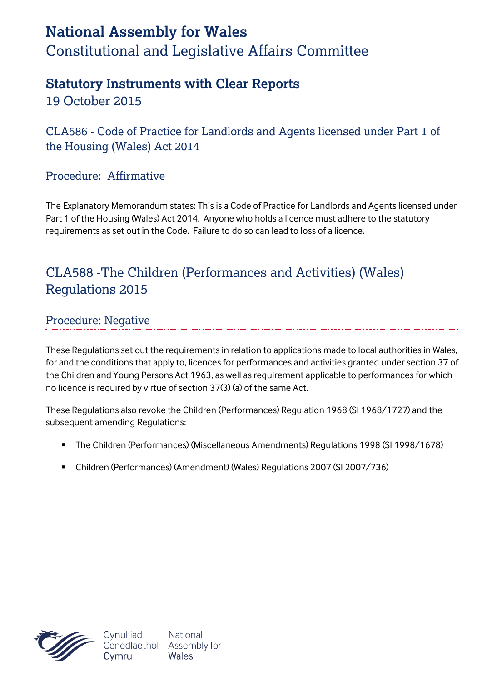# **National Assembly for Wales** Constitutional and Legislative Affairs Committee

## **Statutory Instruments with Clear Reports**

19 October 2015

CLA586 - Code of Practice for Landlords and Agents licensed under Part 1 of the Housing (Wales) Act 2014

#### Procedure: Affirmative

The Explanatory Memorandum states: This is a Code of Practice for Landlords and Agents licensed under Part 1 of the Housing (Wales) Act 2014. Anyone who holds a licence must adhere to the statutory requirements as set out in the Code. Failure to do so can lead to loss of a licence.

### CLA588 -The Children (Performances and Activities) (Wales) Regulations 2015

#### Procedure: Negative

These Regulations set out the requirements in relation to applications made to local authorities in Wales, for and the conditions that apply to, licences for performances and activities granted under section 37 of the Children and Young Persons Act 1963, as well as requirement applicable to performances for which no licence is required by virtue of section 37(3) (a) of the same Act.

These Regulations also revoke the Children (Performances) Regulation 1968 (SI 1968/1727) and the subsequent amending Regulations:

- The Children (Performances) (Miscellaneous Amendments) Regulations 1998 (SI 1998/1678)
- Children (Performances) (Amendment) (Wales) Regulations 2007 (SI 2007/736)